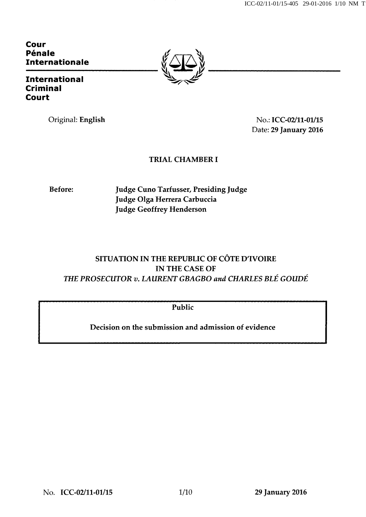ICC-02/11-01/15-405 29-01-2016 1/10 NM T

Cour Pénale Internationale

International Criminal Court

Original: English No.: ICC-02/11-01/15 Date: 29 January 2016

### TRIAL CHAMBER I

Before: Judge Cuno Tarfusser, Presiding Judge Judge Olga Herrera Carbuccia Judge Geoffrey Henderson

## SITUATION IN THE REPUBLIC OF CÔTE D'IVOIRE IN THE CASE OF THE PROSECUTOR v. LAURENT GBAGBO and CHARLES BLÉ GOUDÉ

Public

Decision on the submission and admission of evidence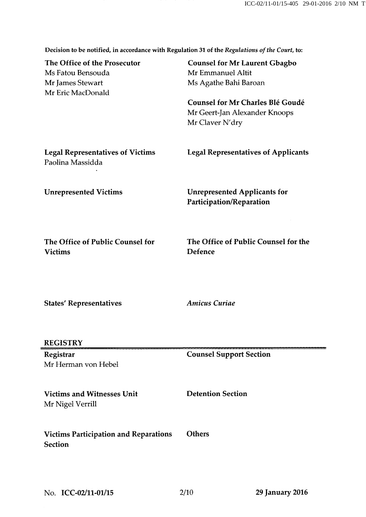Decision to be notified, in accordance with Regulation 31 of the Regulations of the Court, to:

| The Office of the Prosecutor<br>Ms Fatou Bensouda<br>Mr James Stewart<br>Mr Eric MacDonald | <b>Counsel for Mr Laurent Gbagbo</b><br>Mr Emmanuel Altit<br>Ms Agathe Bahi Baroan<br><b>Counsel for Mr Charles Blé Goudé</b><br>Mr Geert-Jan Alexander Knoops<br>Mr Claver N'dry |
|--------------------------------------------------------------------------------------------|-----------------------------------------------------------------------------------------------------------------------------------------------------------------------------------|
| <b>Legal Representatives of Victims</b><br>Paolina Massidda                                | <b>Legal Representatives of Applicants</b>                                                                                                                                        |
| <b>Unrepresented Victims</b>                                                               | <b>Unrepresented Applicants for</b><br>Participation/Reparation                                                                                                                   |
| The Office of Public Counsel for<br><b>Victims</b>                                         | The Office of Public Counsel for the<br>Defence                                                                                                                                   |
| <b>States' Representatives</b>                                                             | <b>Amicus Curiae</b>                                                                                                                                                              |
| <b>REGISTRY</b>                                                                            |                                                                                                                                                                                   |
| Registrar<br>Mr Herman von Hebel                                                           | <b>Counsel Support Section</b>                                                                                                                                                    |
| <b>Victims and Witnesses Unit</b><br>Mr Nigel Verrill                                      | <b>Detention Section</b>                                                                                                                                                          |
| <b>Victims Participation and Reparations</b><br><b>Section</b>                             | <b>Others</b>                                                                                                                                                                     |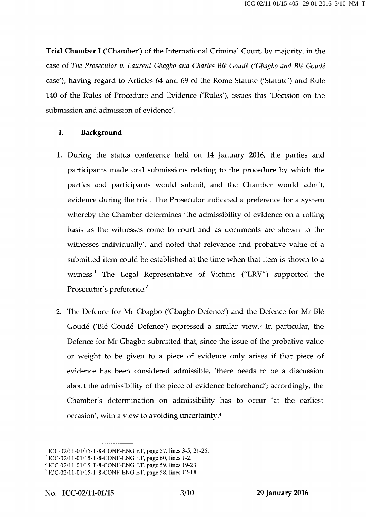Trial Chamber I ('Chamber') of the International Criminal Court, by majority, in the case of The Prosecutor v. Laurent Gbagbo and Charles Blé Goudé ('Gbagbo and Blé Goudé case'), having regard to Articles 64 and 69 of the Rome Statute ('Statute') and Rule 140 of the Rules of Procedure and Evidence ('Rules'), issues this 'Decision on the submission and admission of evidence'.

#### I. Background

- 1. During the status conference held on 14 January 2016, the parties and participants made oral submissions relating to the procedure by which the parties and participants would submit, and the Chamber would admit, evidence during the trial. The Prosecutor indicated a preference for a system whereby the Chamber determines 'the admissibility of evidence on a rolling basis as the witnesses come to court and as documents are shown to the witnesses individually', and noted that relevance and probative value of a submitted item could be established at the time when that item is shown to a witness.<sup>1</sup> The Legal Representative of Victims ("LRV") supported the Prosecutor's preference.<sup>2</sup>
- 2. The Defence for Mr Gbagbo ('Gbagbo Defence') and the Defence for Mr Blé Goudé ('Blé Goudé Defence') expressed a similar view.3 In particular, the Defence for Mr Gbagbo submitted that, since the issue of the probative value or weight to be given to a piece of evidence only arises if that piece of evidence has been considered admissible, 'there needs to be a discussion about the admissibility of the piece of evidence beforehand'; accordingly, the Chamber's determination on admissibility has to occur 'at the earliest occasion', with a view to avoiding uncertainty.4

<sup>1</sup>ICC-02/11 -01/15-T-8-CONF-ENG ET, page 57, lines 3-5, 21-25.

<sup>2</sup> ICC-02/11-01/15-T-8-CONF-ENG ET, page 60, lines 1-2.

<sup>&</sup>lt;sup>3</sup> ICC-02/11-01/15-T-8-CONF-ENG ET, page 59, lines 19-23.

 $4$  ICC-02/11-01/15-T-8-CONF-ENG ET, page 58, lines 12-18.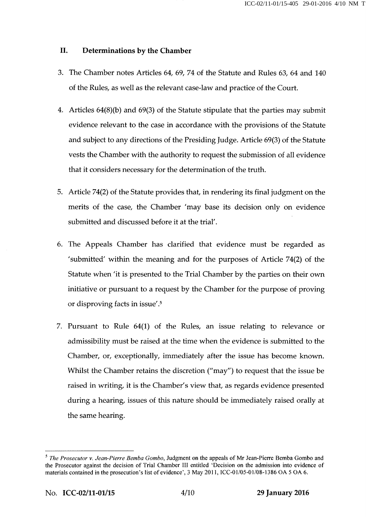#### IL Determinations by the Chamber

- 3. The Chamber notes Articles 64, 69, 74 of the Statute and Rules 63, 64 and 140 of the Rules, as well as the relevant case-law and practice of the Court.
- 4. Articles 64(8)(b) and 69(3) of the Statute stipulate that the parties may submit evidence relevant to the case in accordance with the provisions of the Statute and subject to any directions of the Presiding Judge. Article 69(3) of the Statute vests the Chamber with the authority to request the submission of all evidence that it considers necessary for the determination of the truth.
- 5. Article 74(2) of the Statute provides that, in rendering its final judgment on the merits of the case, the Chamber 'may base its decision only on evidence submitted and discussed before it at the trial'.
- 6. The Appeals Chamber has clarified that evidence must be regarded as 'submitted' within the meaning and for the purposes of Article 74(2) of the Statute when 'it is presented to the Trial Chamber by the parties on their own initiative or pursuant to a request by the Chamber for the purpose of proving or disproving facts in issue'.5
- 7. Pursuant to Rule 64(1) of the Rules, an issue relating to relevance or admissibility must be raised at the time when the evidence is submitted to the Chamber, or, exceptionally, immediately after the issue has become known. Whilst the Chamber retains the discretion ("may") to request that the issue be raised in writing, it is the Chamber's view that, as regards evidence presented during a hearing, issues of this nature should be immediately raised orally at the same hearing.

 $<sup>5</sup>$  The Prosecutor v. Jean-Pierre Bemba Gombo, Judgment on the appeals of Mr Jean-Pierre Bemba Gombo and</sup> the Prosecutor against the decision of Trial Chamber III entitled 'Decision on the admission into evidence of materials contained in the prosecution's list of evidence', 3 May 2011, ICC-01/05-01/08-1386 OA 5 OA 6.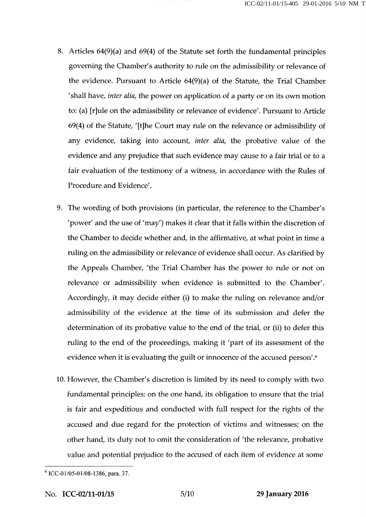- 8. Articles 64(9)(a) and 69(4) of the Statute set forth the fundamental principles governing the Chamber's authority to rule on the admissibility or relevance of the evidence. Pursuant to Article 64(9)(a) of the Statute, the Trial Chamber 'shall have, inter alia, the power on application of a party or on its own motion to: (a) [r]ule on the admissibility or relevance of evidence'. Pursuant to Article 69(4) of the Statute, '[t]he Court may rule on the relevance or admissibility of any evidence, taking into account, inter alia, the probative value of the evidence and any prejudice that such evidence may cause to a fair trial or to a fair evaluation of the testimony of a witness, in accordance with the Rules of Procedure and Evidence'.
- 9. The wording of both provisions (in particular, the reference to the Chamber's 'power' and the use of 'may') makes it clear that it falls within the discretion of the Chamber to decide whether and, in the affirmative, at what point in time a ruling on the admissibility or relevance of evidence shall occur. As clarified by the Appeals Chamber, 'the Trial Chamber has the power to rule or not on relevance or admissibility when evidence is submitted to the Chamber'. Accordingly, it may decide either (i) to make the ruling on relevance and/or admissibility of the evidence at the time of its submission and defer the determination of its probative value to the end of the trial, or (ii) to defer this ruling to the end of the proceedings, making it 'part of its assessment of the evidence when it is evaluating the guilt or innocence of the accused person'.<sup>6</sup>
- 10. However, the Chamber's discretion is limited by its need to comply with two fundamental principles: on the one hand, its obligation to ensure that the trial is fair and expeditious and conducted with full respect for the rights of the accused and due regard for the protection of victims and witnesses; on the other hand, its duty not to omit the consideration of 'the relevance, probative value and potential prejudice to the accused of each item of evidence at some

<sup>6</sup> ICC-01/05-01/08-1386, para. 37.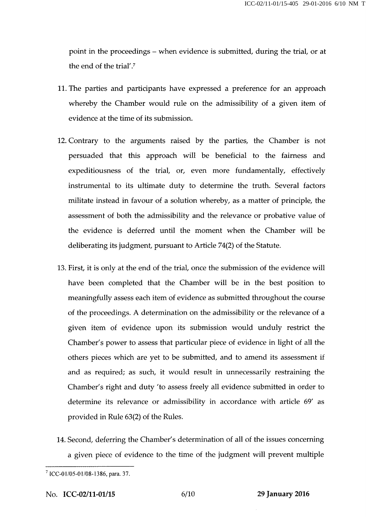point in the proceedings - when evidence is submitted, during the trial, or at the end of the trial'.7

- 11. The parties and participants have expressed a preference for an approach whereby the Chamber would rule on the admissibility of a given item of evidence at the time of its submission.
- 12. Contrary to the arguments raised by the parties, the Chamber is not persuaded that this approach will be beneficial to the fairness and expeditiousness of the trial, or, even more fundamentally, effectively instrumental to its ultimate duty to determine the truth. Several factors militate instead in favour of a solution whereby, as a matter of principle, the assessment of both the admissibility and the relevance or probative value of the evidence is deferred until the moment when the Chamber will be deliberating its judgment, pursuant to Article 74(2) of the Statute.
- 13. First, it is only at the end of the trial, once the submission of the evidence will have been completed that the Chamber will be in the best position to meaningfully assess each item of evidence as submitted throughout the course of the proceedings. A determination on the admissibility or the relevance of a given item of evidence upon its submission would unduly restrict the Chamber's power to assess that particular piece of evidence in light of all the others pieces which are yet to be submitted, and to amend its assessment if and as required; as such, it would result in unnecessarily restraining the Chamber's right and duty 'to assess freely all evidence submitted in order to determine its relevance or admissibility in accordance with article 69' as provided in Rule 63(2) of the Rules.
- 14. Second, deferring the Chamber's determination of all of the issues concerning a given piece of evidence to the time of the judgment will prevent multiple

 $7$  ICC-01/05-01/08-1386, para. 37.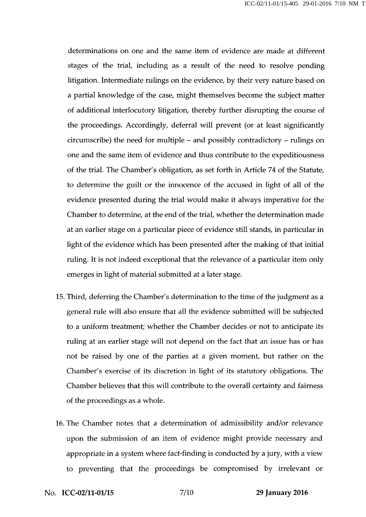determinations on one and the same item of evidence are made at different stages of the trial, including as a result of the need to resolve pending litigation. Intermediate rulings on the evidence, by their very nature based on a partial knowledge of the case, might themselves become the subject matter of additional interlocutory litigation, thereby further disrupting the course of the proceedings. Accordingly, deferral will prevent (or at least significantly circumscribe) the need for multiple - and possibly contradictory - rulings on one and the same item of evidence and thus contribute to the expeditiousness of the trial. The Chamber's obligation, as set forth in Article 74 of the Statute, to determine the guilt or the innocence of the accused in light of all of the evidence presented during the trial would make it always imperative for the Chamber to determine, at the end of the trial, whether the determination made at an earlier stage on a particular piece of evidence still stands, in particular in light of the evidence which has been presented after the making of that initial ruling. It is not indeed exceptional that the relevance of a particular item only emerges in light of material submitted at a later stage.

- 15. Third, deferring the Chamber's determination to the time of the judgment as a general rule will also ensure that all the evidence submitted will be subjected to a uniform treatment; whether the Chamber decides or not to anticipate its ruling at an earlier stage will not depend on the fact that an issue has or has not be raised by one of the parties at a given moment, but rather on the Chamber's exercise of its discretion in light of its statutory obligations. The Chamber believes that this will contribute to the overall certainty and fairness of the proceedings as a whole.
- 16. The Chamber notes that a determination of admissibility and/or relevance upon the submission of an item of evidence might provide necessary and appropriate in a system where fact-finding is conducted by a jury, with a view to preventing that the proceedings be compromised by irrelevant or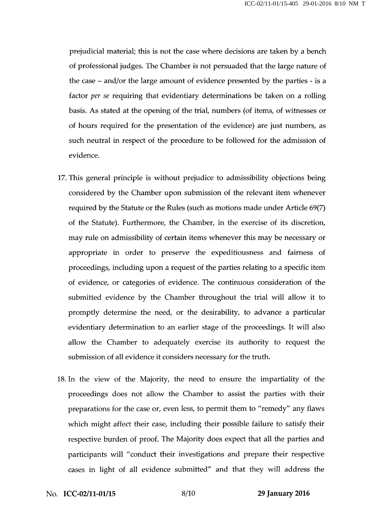prejudicial material; this is not the case where decisions are taken by a bench of professional judges. The Chamber is not persuaded that the large nature of the case - and/or the large amount of evidence presented by the parties - is a factor per se requiring that evidentiary determinations be taken on a rolling basis. As stated at the opening of the trial, numbers (of items, of witnesses or of hours required for the presentation of the evidence) are just numbers, as such neutral in respect of the procedure to be followed for the admission of evidence.

- 17. This general principle is without prejudice to admissibility objections being considered by the Chamber upon submission of the relevant item whenever required by the Statute or the Rules (such as motions made under Article 69(7) of the Statute). Furthermore, the Chamber, in the exercise of its discretion, may rule on admissibility of certain items whenever this may be necessary or appropriate in order to preserve the expeditiousness and fairness of proceedings, including upon a request of the parties relating to a specific item of evidence, or categories of evidence. The continuous consideration of the submitted evidence by the Chamber throughout the trial will allow it to promptly determine the need, or the desirability, to advance a particular evidentiary determination to an earlier stage of the proceedings. It will also allow the Chamber to adequately exercise its authority to request the submission of all evidence it considers necessary for the truth.
- 18. In the view of the Majority, the need to ensure the impartiality of the proceedings does not allow the Chamber to assist the parties with their preparations for the case or, even less, to permit them to "remedy" any flaws which might affect their case, including their possible failure to satisfy their respective burden of proof. The Majority does expect that all the parties and participants will "conduct their investigations and prepare their respective cases in light of all evidence submitted" and that they will address the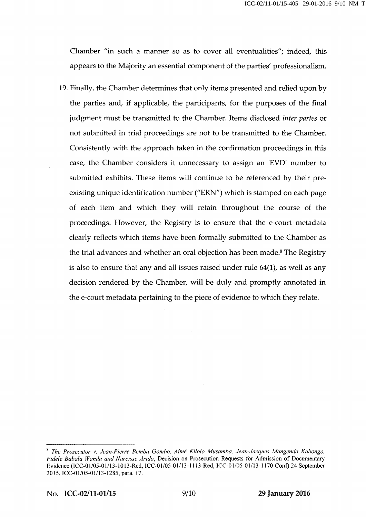Chamber "in such a manner so as to cover all eventualities"; indeed, this appears to the Majority an essential component of the parties' professionalism.

19. Finally, the Chamber determines that only items presented and relied upon by the parties and, if applicable, the participants, for the purposes of the final judgment must be transmitted to the Chamber. Items disclosed inter partes or not submitted in trial proceedings are not to be transmitted to the Chamber. Consistently with the approach taken in the confirmation proceedings in this case, the Chamber considers it unnecessary to assign an 'EVD' number to submitted exhibits. These items will continue to be referenced by their preexisting unique identification number ("ERN") which is stamped on each page of each item and which they will retain throughout the course of the proceedings. However, the Registry is to ensure that the e-court metadata clearly reflects which items have been formally submitted to the Chamber as the trial advances and whether an oral objection has been made.<sup>8</sup> The Registry is also to ensure that any and all issues raised under rule 64(1), as well as any decision rendered by the Chamber, will be duly and promptly annotated in the e-court metadata pertaining to the piece of evidence to which they relate.

<sup>8</sup>The Prosecutor v. Jean-Pierre Bemba Gombo, Aimé Kilolo Musamba, Jean-Jacques Mangenda Kabongo, Fidele Babala Wandu and Narcisse Arido, Decision on Prosecution Requests for Admission of Documentary Evidence (ICC-01/05-01/13-1013-Red, ICC-01/05-01/13-1113-Red, ICC-01/05-01/13-1170-Conf) 24 September 2015, ICC-01/05-01/13-1285, para. 17.